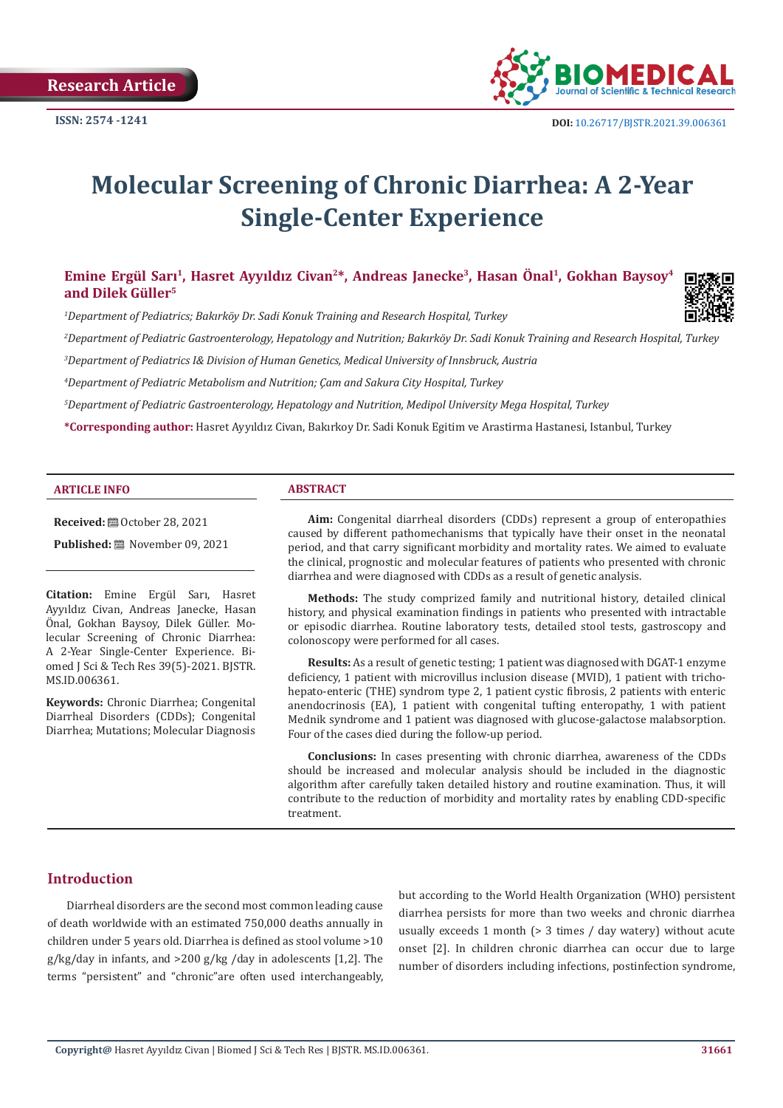

# **Molecular Screening of Chronic Diarrhea: A 2-Year Single-Center Experience**

# **Emine Ergül Sarı<sup>1</sup>, Hasret Ayyıldız Civan<sup>2</sup>\*, Andreas Janecke3, Hasan Önal1, Gokhan Baysoy<sup>4</sup> and Dilek Güller<sup>5</sup>**

*1 Department of Pediatrics; Bakırköy Dr. Sadi Konuk Training and Research Hospital, Turkey*

*2 Department of Pediatric Gastroenterology, Hepatology and Nutrition; Bakırköy Dr. Sadi Konuk Training and Research Hospital, Turkey*

*3 Department of Pediatrics I& Division of Human Genetics, Medical University of Innsbruck, Austria*

*4 Department of Pediatric Metabolism and Nutrition; Çam and Sakura City Hospital, Turkey*

*5 Department of Pediatric Gastroenterology, Hepatology and Nutrition, Medipol University Mega Hospital, Turkey*

**\*Corresponding author:** Hasret Ayyıldız Civan, Bakırkoy Dr. Sadi Konuk Egitim ve Arastirma Hastanesi, Istanbul, Turkey

#### **ARTICLE INFO ABSTRACT**

**Received:** ■ October 28, 2021

**Published:** ■ November 09, 2021

**Citation:** Emine Ergül Sarı, Hasret Ayyıldız Civan, Andreas Janecke, Hasan Önal, Gokhan Baysoy, Dilek Güller. Molecular Screening of Chronic Diarrhea: A 2-Year Single-Center Experience. Biomed J Sci & Tech Res 39(5)-2021. BJSTR. MS.ID.006361.

**Keywords:** Chronic Diarrhea; Congenital Diarrheal Disorders (CDDs); Congenital Diarrhea; Mutations; Molecular Diagnosis

**Aim:** Congenital diarrheal disorders (CDDs) represent a group of enteropathies caused by different pathomechanisms that typically have their onset in the neonatal period, and that carry significant morbidity and mortality rates. We aimed to evaluate the clinical, prognostic and molecular features of patients who presented with chronic diarrhea and were diagnosed with CDDs as a result of genetic analysis.

**Methods:** The study comprized family and nutritional history, detailed clinical history, and physical examination findings in patients who presented with intractable or episodic diarrhea. Routine laboratory tests, detailed stool tests, gastroscopy and colonoscopy were performed for all cases.

**Results:** As a result of genetic testing; 1 patient was diagnosed with DGAT-1 enzyme deficiency, 1 patient with microvillus inclusion disease (MVID), 1 patient with trichohepato-enteric (THE) syndrom type 2, 1 patient cystic fibrosis, 2 patients with enteric anendocrinosis (EA), 1 patient with congenital tufting enteropathy, 1 with patient Mednik syndrome and 1 patient was diagnosed with glucose-galactose malabsorption. Four of the cases died during the follow-up period.

**Conclusions:** In cases presenting with chronic diarrhea, awareness of the CDDs should be increased and molecular analysis should be included in the diagnostic algorithm after carefully taken detailed history and routine examination. Thus, it will contribute to the reduction of morbidity and mortality rates by enabling CDD-specific treatment.

# **Introduction**

Diarrheal disorders are the second most common leading cause of death worldwide with an estimated 750,000 deaths annually in children under 5 years old. Diarrhea is defined as stool volume >10 g/kg/day in infants, and >200 g/kg /day in adolescents [1,2]. The terms "persistent" and "chronic"are often used interchangeably, but according to the World Health Organization (WHO) persistent diarrhea persists for more than two weeks and chronic diarrhea usually exceeds 1 month (> 3 times / day watery) without acute onset [2]. In children chronic diarrhea can occur due to large number of disorders including infections, postinfection syndrome,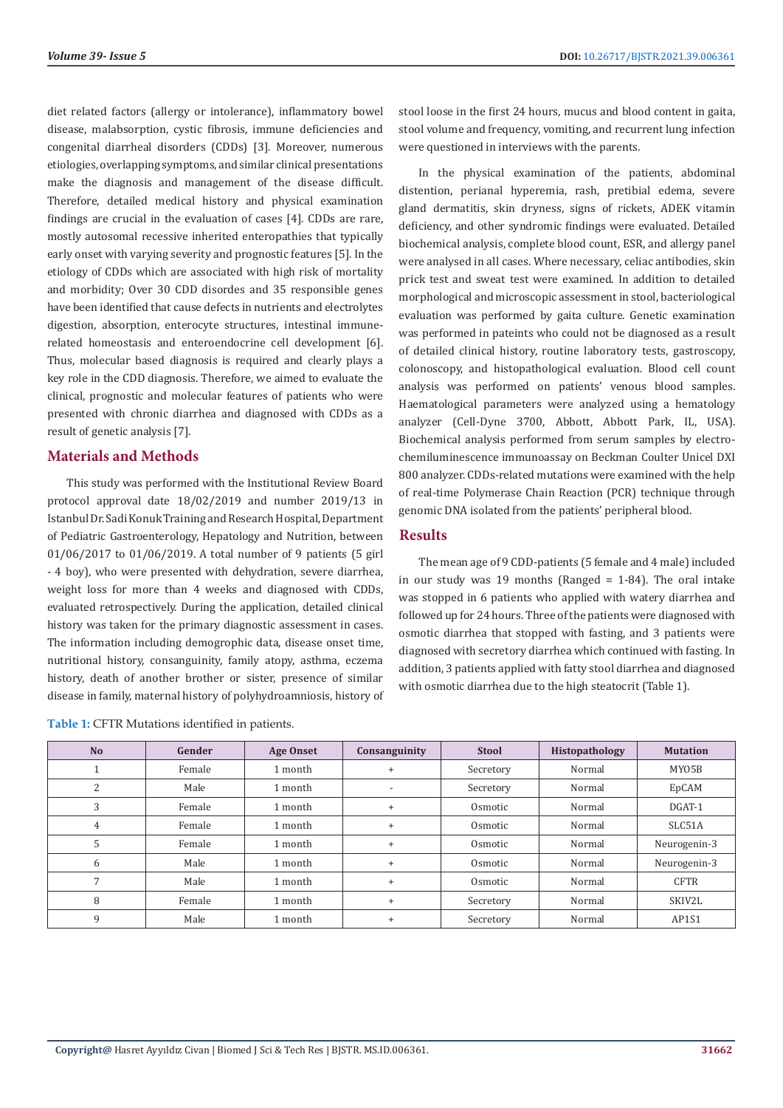diet related factors (allergy or intolerance), inflammatory bowel disease, malabsorption, cystic fibrosis, immune deficiencies and congenital diarrheal disorders (CDDs) [3]. Moreover, numerous etiologies, overlapping symptoms, and similar clinical presentations make the diagnosis and management of the disease difficult. Therefore, detailed medical history and physical examination findings are crucial in the evaluation of cases [4]. CDDs are rare, mostly autosomal recessive inherited enteropathies that typically early onset with varying severity and prognostic features [5]. In the etiology of CDDs which are associated with high risk of mortality and morbidity; Over 30 CDD disordes and 35 responsible genes have been identified that cause defects in nutrients and electrolytes digestion, absorption, enterocyte structures, intestinal immunerelated homeostasis and enteroendocrine cell development [6]. Thus, molecular based diagnosis is required and clearly plays a key role in the CDD diagnosis. Therefore, we aimed to evaluate the clinical, prognostic and molecular features of patients who were presented with chronic diarrhea and diagnosed with CDDs as a result of genetic analysis [7].

# **Materials and Methods**

This study was performed with the Institutional Review Board protocol approval date 18/02/2019 and number 2019/13 in Istanbul Dr. Sadi Konuk Training and Research Hospital, Department of Pediatric Gastroenterology, Hepatology and Nutrition, between 01/06/2017 to 01/06/2019. A total number of 9 patients (5 girl - 4 boy), who were presented with dehydration, severe diarrhea, weight loss for more than 4 weeks and diagnosed with CDDs, evaluated retrospectively. During the application, detailed clinical history was taken for the primary diagnostic assessment in cases. The information including demogrophic data, disease onset time, nutritional history, consanguinity, family atopy, asthma, eczema history, death of another brother or sister, presence of similar disease in family, maternal history of polyhydroamniosis, history of

| <b>Table 1: CFTR Mutations identified in patients.</b> |  |  |  |  |
|--------------------------------------------------------|--|--|--|--|
|--------------------------------------------------------|--|--|--|--|

stool loose in the first 24 hours, mucus and blood content in gaita, stool volume and frequency, vomiting, and recurrent lung infection were questioned in interviews with the parents.

In the physical examination of the patients, abdominal distention, perianal hyperemia, rash, pretibial edema, severe gland dermatitis, skin dryness, signs of rickets, ADEK vitamin deficiency, and other syndromic findings were evaluated. Detailed biochemical analysis, complete blood count, ESR, and allergy panel were analysed in all cases. Where necessary, celiac antibodies, skin prick test and sweat test were examined. In addition to detailed morphological and microscopic assessment in stool, bacteriological evaluation was performed by gaita culture. Genetic examination was performed in pateints who could not be diagnosed as a result of detailed clinical history, routine laboratory tests, gastroscopy, colonoscopy, and histopathological evaluation. Blood cell count analysis was performed on patients' venous blood samples. Haematological parameters were analyzed using a hematology analyzer (Cell-Dyne 3700, Abbott, Abbott Park, IL, USA). Biochemical analysis performed from serum samples by electrochemiluminescence immunoassay on Beckman Coulter Unicel DXI 800 analyzer. CDDs-related mutations were examined with the help of real-time Polymerase Chain Reaction (PCR) technique through genomic DNA isolated from the patients' peripheral blood.

### **Results**

The mean age of 9 CDD-patients (5 female and 4 male) included in our study was 19 months (Ranged = 1-84). The oral intake was stopped in 6 patients who applied with watery diarrhea and followed up for 24 hours. Three of the patients were diagnosed with osmotic diarrhea that stopped with fasting, and 3 patients were diagnosed with secretory diarrhea which continued with fasting. In addition, 3 patients applied with fatty stool diarrhea and diagnosed with osmotic diarrhea due to the high steatocrit (Table 1).

| N <sub>o</sub> | Gender | <b>Age Onset</b> | Consanguinity            | <b>Stool</b> | Histopathology | <b>Mutation</b> |
|----------------|--------|------------------|--------------------------|--------------|----------------|-----------------|
|                | Female | 1 month          |                          | Secretory    | Normal         | MY05B           |
| 2              | Male   | 1 month          | $\overline{\phantom{a}}$ | Secretory    | Normal         | EpCAM           |
| 3              | Female | 1 month          | $\ddot{}$                | Osmotic      | Normal         | DGAT-1          |
| 4              | Female | 1 month          | $\ddot{}$                | Osmotic      | Normal         | SLC51A          |
| 5              | Female | 1 month          | $\ddot{}$                | Osmotic      | Normal         | Neurogenin-3    |
| 6              | Male   | 1 month          | $\ddot{}$                | Osmotic      | Normal         | Neurogenin-3    |
|                | Male   | 1 month          | $\ddot{}$                | Osmotic      | Normal         | <b>CFTR</b>     |
| 8              | Female | 1 month          | $\ddot{}$                | Secretory    | Normal         | SKIV2L          |
| 9              | Male   | 1 month          |                          | Secretory    | Normal         | AP1S1           |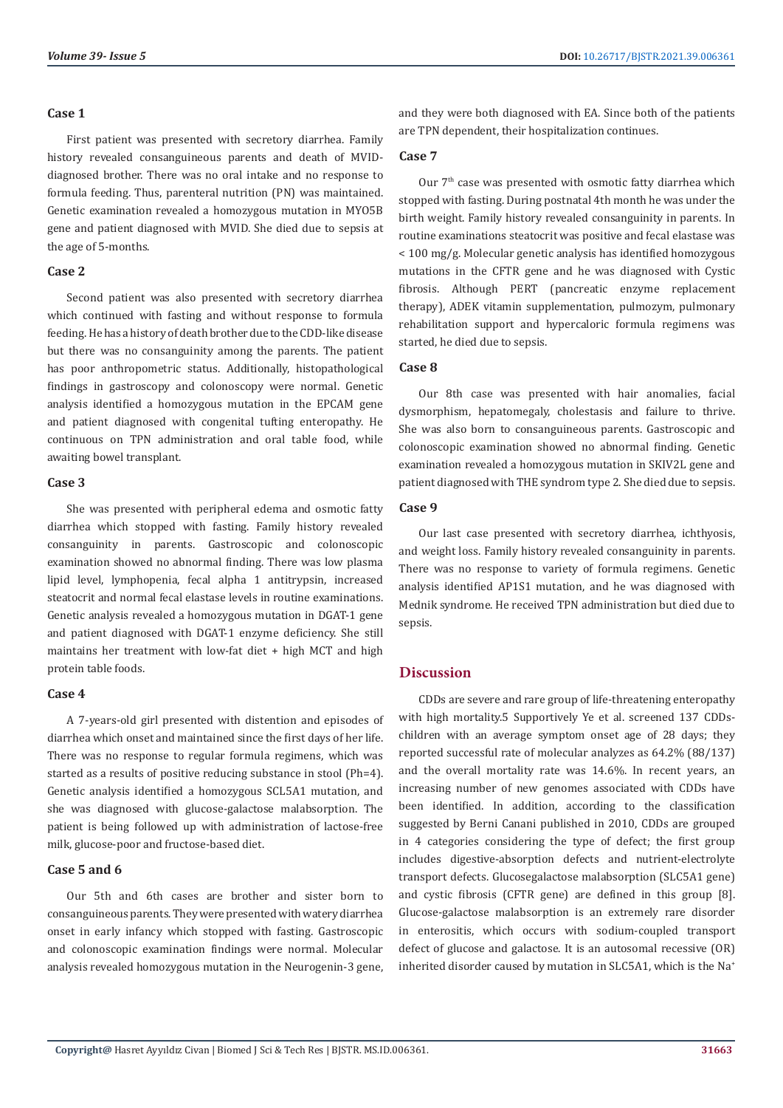#### **Case 1**

First patient was presented with secretory diarrhea. Family history revealed consanguineous parents and death of MVIDdiagnosed brother. There was no oral intake and no response to formula feeding. Thus, parenteral nutrition (PN) was maintained. Genetic examination revealed a homozygous mutation in MYO5B gene and patient diagnosed with MVID. She died due to sepsis at the age of 5-months.

### **Case 2**

Second patient was also presented with secretory diarrhea which continued with fasting and without response to formula feeding. He has a history of death brother due to the CDD-like disease but there was no consanguinity among the parents. The patient has poor anthropometric status. Additionally, histopathological findings in gastroscopy and colonoscopy were normal. Genetic analysis identified a homozygous mutation in the EPCAM gene and patient diagnosed with congenital tufting enteropathy. He continuous on TPN administration and oral table food, while awaiting bowel transplant.

# **Case 3**

She was presented with peripheral edema and osmotic fatty diarrhea which stopped with fasting. Family history revealed consanguinity in parents. Gastroscopic and colonoscopic examination showed no abnormal finding. There was low plasma lipid level, lymphopenia, fecal alpha 1 antitrypsin, increased steatocrit and normal fecal elastase levels in routine examinations. Genetic analysis revealed a homozygous mutation in DGAT-1 gene and patient diagnosed with DGAT-1 enzyme deficiency. She still maintains her treatment with low-fat diet + high MCT and high protein table foods.

### **Case 4**

A 7-years-old girl presented with distention and episodes of diarrhea which onset and maintained since the first days of her life. There was no response to regular formula regimens, which was started as a results of positive reducing substance in stool (Ph=4). Genetic analysis identified a homozygous SCL5A1 mutation, and she was diagnosed with glucose-galactose malabsorption. The patient is being followed up with administration of lactose-free milk, glucose-poor and fructose-based diet.

### **Case 5 and 6**

Our 5th and 6th cases are brother and sister born to consanguineous parents. They were presented with watery diarrhea onset in early infancy which stopped with fasting. Gastroscopic and colonoscopic examination findings were normal. Molecular analysis revealed homozygous mutation in the Neurogenin-3 gene,

and they were both diagnosed with EA. Since both of the patients are TPN dependent, their hospitalization continues.

## **Case 7**

Our 7<sup>th</sup> case was presented with osmotic fatty diarrhea which stopped with fasting. During postnatal 4th month he was under the birth weight. Family history revealed consanguinity in parents. In routine examinations steatocrit was positive and fecal elastase was < 100 mg/g. Molecular genetic analysis has identified homozygous mutations in the CFTR gene and he was diagnosed with Cystic fibrosis. Although PERT (pancreatic enzyme replacement therapy), ADEK vitamin supplementation, pulmozym, pulmonary rehabilitation support and hypercaloric formula regimens was started, he died due to sepsis.

# **Case 8**

Our 8th case was presented with hair anomalies, facial dysmorphism, hepatomegaly, cholestasis and failure to thrive. She was also born to consanguineous parents. Gastroscopic and colonoscopic examination showed no abnormal finding. Genetic examination revealed a homozygous mutation in SKIV2L gene and patient diagnosed with THE syndrom type 2. She died due to sepsis.

### **Case 9**

Our last case presented with secretory diarrhea, ichthyosis, and weight loss. Family history revealed consanguinity in parents. There was no response to variety of formula regimens. Genetic analysis identified AP1S1 mutation, and he was diagnosed with Mednik syndrome. He received TPN administration but died due to sepsis.

# **Discussion**

CDDs are severe and rare group of life-threatening enteropathy with high mortality.5 Supportively Ye et al. screened 137 CDDschildren with an average symptom onset age of 28 days; they reported successful rate of molecular analyzes as 64.2% (88/137) and the overall mortality rate was 14.6%. In recent years, an increasing number of new genomes associated with CDDs have been identified. In addition, according to the classification suggested by Berni Canani published in 2010, CDDs are grouped in 4 categories considering the type of defect; the first group includes digestive-absorption defects and nutrient-electrolyte transport defects. Glucosegalactose malabsorption (SLC5A1 gene) and cystic fibrosis (CFTR gene) are defined in this group [8]. Glucose-galactose malabsorption is an extremely rare disorder in enterositis, which occurs with sodium-coupled transport defect of glucose and galactose. It is an autosomal recessive (OR) inherited disorder caused by mutation in SLC5A1, which is the Na<sup>+</sup>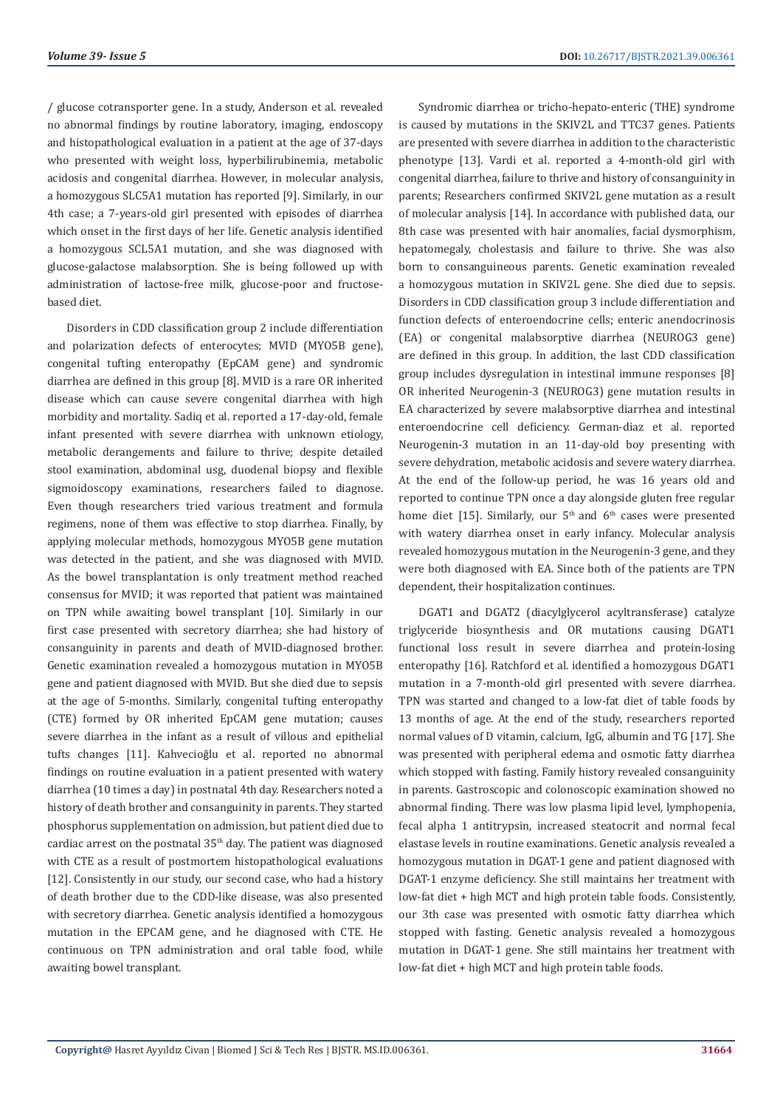/ glucose cotransporter gene. In a study, Anderson et al. revealed no abnormal findings by routine laboratory, imaging, endoscopy and histopathological evaluation in a patient at the age of 37-days who presented with weight loss, hyperbilirubinemia, metabolic acidosis and congenital diarrhea. However, in molecular analysis, a homozygous SLC5A1 mutation has reported [9]. Similarly, in our 4th case; a 7-years-old girl presented with episodes of diarrhea which onset in the first days of her life. Genetic analysis identified a homozygous SCL5A1 mutation, and she was diagnosed with glucose-galactose malabsorption. She is being followed up with administration of lactose-free milk, glucose-poor and fructosebased diet.

Disorders in CDD classification group 2 include differentiation and polarization defects of enterocytes; MVID (MYO5B gene), congenital tufting enteropathy (EpCAM gene) and syndromic diarrhea are defined in this group [8]. MVID is a rare OR inherited disease which can cause severe congenital diarrhea with high morbidity and mortality. Sadiq et al. reported a 17-day-old, female infant presented with severe diarrhea with unknown etiology, metabolic derangements and failure to thrive; despite detailed stool examination, abdominal usg, duodenal biopsy and flexible sigmoidoscopy examinations, researchers failed to diagnose. Even though researchers tried various treatment and formula regimens, none of them was effective to stop diarrhea. Finally, by applying molecular methods, homozygous MYO5B gene mutation was detected in the patient, and she was diagnosed with MVID. As the bowel transplantation is only treatment method reached consensus for MVID; it was reported that patient was maintained on TPN while awaiting bowel transplant [10]. Similarly in our first case presented with secretory diarrhea; she had history of consanguinity in parents and death of MVID-diagnosed brother. Genetic examination revealed a homozygous mutation in MYO5B gene and patient diagnosed with MVID. But she died due to sepsis at the age of 5-months. Similarly, congenital tufting enteropathy (CTE) formed by OR inherited EpCAM gene mutation; causes severe diarrhea in the infant as a result of villous and epithelial tufts changes [11]. Kahvecioğlu et al. reported no abnormal findings on routine evaluation in a patient presented with watery diarrhea (10 times a day) in postnatal 4th day. Researchers noted a history of death brother and consanguinity in parents. They started phosphorus supplementation on admission, but patient died due to cardiac arrest on the postnatal  $35<sup>th</sup>$  day. The patient was diagnosed with CTE as a result of postmortem histopathological evaluations [12]. Consistently in our study, our second case, who had a history of death brother due to the CDD-like disease, was also presented with secretory diarrhea. Genetic analysis identified a homozygous mutation in the EPCAM gene, and he diagnosed with CTE. He continuous on TPN administration and oral table food, while awaiting bowel transplant.

Syndromic diarrhea or tricho-hepato-enteric (THE) syndrome is caused by mutations in the SKIV2L and TTC37 genes. Patients are presented with severe diarrhea in addition to the characteristic phenotype [13]. Vardi et al. reported a 4-month-old girl with congenital diarrhea, failure to thrive and history of consanguinity in parents; Researchers confirmed SKIV2L gene mutation as a result of molecular analysis [14]. In accordance with published data, our 8th case was presented with hair anomalies, facial dysmorphism, hepatomegaly, cholestasis and failure to thrive. She was also born to consanguineous parents. Genetic examination revealed a homozygous mutation in SKIV2L gene. She died due to sepsis. Disorders in CDD classification group 3 include differentiation and function defects of enteroendocrine cells; enteric anendocrinosis (EA) or congenital malabsorptive diarrhea (NEUROG3 gene) are defined in this group. In addition, the last CDD classification group includes dysregulation in intestinal immune responses [8] OR inherited Neurogenin-3 (NEUROG3) gene mutation results in EA characterized by severe malabsorptive diarrhea and intestinal enteroendocrine cell deficiency. German-diaz et al. reported Neurogenin-3 mutation in an 11-day-old boy presenting with severe dehydration, metabolic acidosis and severe watery diarrhea. At the end of the follow-up period, he was 16 years old and reported to continue TPN once a day alongside gluten free regular home diet [15]. Similarly, our  $5<sup>th</sup>$  and  $6<sup>th</sup>$  cases were presented with watery diarrhea onset in early infancy. Molecular analysis revealed homozygous mutation in the Neurogenin-3 gene, and they were both diagnosed with EA. Since both of the patients are TPN dependent, their hospitalization continues.

DGAT1 and DGAT2 (diacylglycerol acyltransferase) catalyze triglyceride biosynthesis and OR mutations causing DGAT1 functional loss result in severe diarrhea and protein-losing enteropathy [16]. Ratchford et al. identified a homozygous DGAT1 mutation in a 7-month-old girl presented with severe diarrhea. TPN was started and changed to a low-fat diet of table foods by 13 months of age. At the end of the study, researchers reported normal values of D vitamin, calcium, IgG, albumin and TG [17]. She was presented with peripheral edema and osmotic fatty diarrhea which stopped with fasting. Family history revealed consanguinity in parents. Gastroscopic and colonoscopic examination showed no abnormal finding. There was low plasma lipid level, lymphopenia, fecal alpha 1 antitrypsin, increased steatocrit and normal fecal elastase levels in routine examinations. Genetic analysis revealed a homozygous mutation in DGAT-1 gene and patient diagnosed with DGAT-1 enzyme deficiency. She still maintains her treatment with low-fat diet + high MCT and high protein table foods. Consistently, our 3th case was presented with osmotic fatty diarrhea which stopped with fasting. Genetic analysis revealed a homozygous mutation in DGAT-1 gene. She still maintains her treatment with low-fat diet + high MCT and high protein table foods.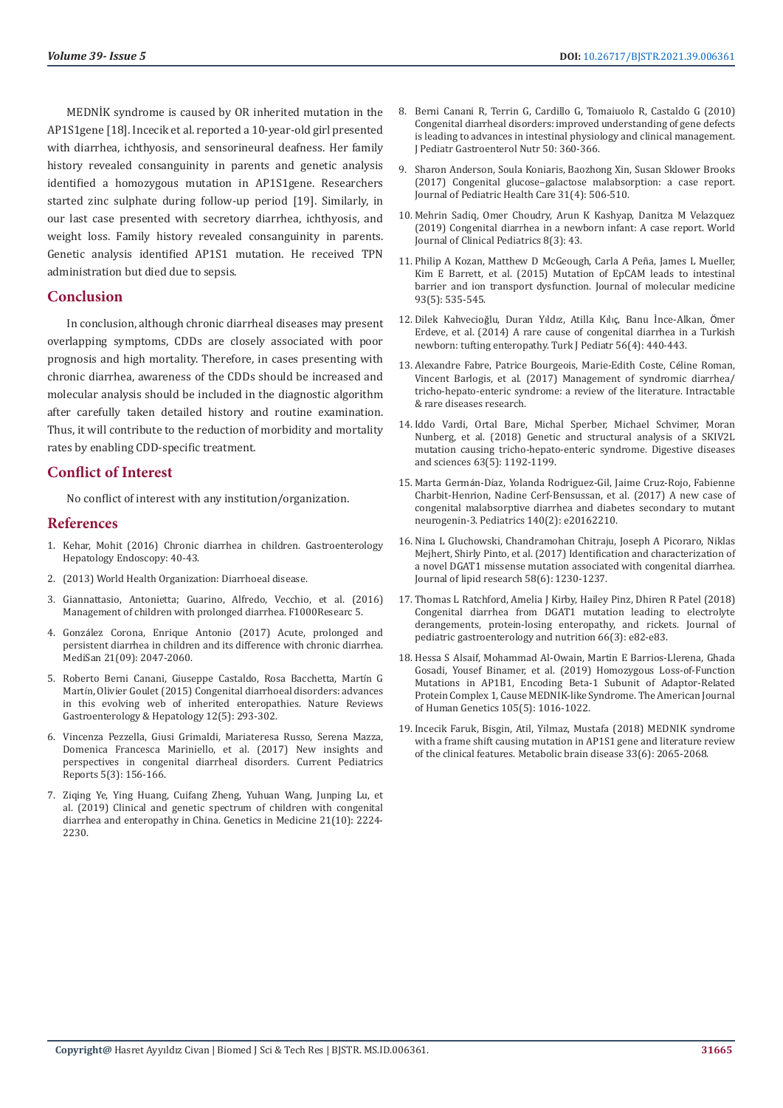MEDNİK syndrome is caused by OR inherited mutation in the AP1S1gene [18]. Incecik et al. reported a 10-year-old girl presented with diarrhea, ichthyosis, and sensorineural deafness. Her family history revealed consanguinity in parents and genetic analysis identified a homozygous mutation in AP1S1gene. Researchers started zinc sulphate during follow-up period [19]. Similarly, in our last case presented with secretory diarrhea, ichthyosis, and weight loss. Family history revealed consanguinity in parents. Genetic analysis identified AP1S1 mutation. He received TPN administration but died due to sepsis.

### **Conclusion**

In conclusion, although chronic diarrheal diseases may present overlapping symptoms, CDDs are closely associated with poor prognosis and high mortality. Therefore, in cases presenting with chronic diarrhea, awareness of the CDDs should be increased and molecular analysis should be included in the diagnostic algorithm after carefully taken detailed history and routine examination. Thus, it will contribute to the reduction of morbidity and mortality rates by enabling CDD-specific treatment.

# **Conflict of Interest**

No conflict of interest with any institution/organization.

#### **References**

- 1. [Kehar, Mohit \(2016\) Chronic diarrhea in children. Gastroenterology](https://www.oatext.com/pdf/GHE-1-110.pdf)  [Hepatology Endoscopy: 40-43.](https://www.oatext.com/pdf/GHE-1-110.pdf)
- 2. (2013) World Health Organization: Diarrhoeal disease.
- 3. Giannattasio, Antonietta; Guarino, Alfredo, Vecchio, et al. (2016) Management of children with prolonged diarrhea. F1000Researc 5.
- 4. Gonzá[lez Corona, Enrique Antonio \(2017\) Acute, prolonged and](https://www.medigraphic.com/cgi-bin/new/resumenI.cgi?IDARTICULO=74993)  [persistent diarrhea in children and its difference with chronic diarrhea.](https://www.medigraphic.com/cgi-bin/new/resumenI.cgi?IDARTICULO=74993)  [MediSan 21\(09\): 2047-2060.](https://www.medigraphic.com/cgi-bin/new/resumenI.cgi?IDARTICULO=74993)
- 5. [Roberto Berni Canani, Giuseppe Castaldo, Rosa Bacchetta, Mart](https://pubmed.ncbi.nlm.nih.gov/25782092/)ín G Martí[n, Olivier Goulet \(2015\) Congenital diarrhoeal disorders: advances](https://pubmed.ncbi.nlm.nih.gov/25782092/)  [in this evolving web of inherited enteropathies. Nature Reviews](https://pubmed.ncbi.nlm.nih.gov/25782092/)  [Gastroenterology & Hepatology 12\(5\): 293-302.](https://pubmed.ncbi.nlm.nih.gov/25782092/)
- 6. [Vincenza Pezzella, Giusi Grimaldi, Mariateresa Russo, Serena Mazza,](https://www.infona.pl/resource/bwmeta1.element.springer-doi-10_1007-S40124-017-0136-5)  [Domenica Francesca Mariniello, et al. \(2017\) New insights and](https://www.infona.pl/resource/bwmeta1.element.springer-doi-10_1007-S40124-017-0136-5)  [perspectives in congenital diarrheal disorders. Current Pediatrics](https://www.infona.pl/resource/bwmeta1.element.springer-doi-10_1007-S40124-017-0136-5)  [Reports 5\(3\): 156-166.](https://www.infona.pl/resource/bwmeta1.element.springer-doi-10_1007-S40124-017-0136-5)
- 7. [Ziqing Ye, Ying Huang, Cuifang Zheng, Yuhuan Wang, Junping Lu, et](https://pubmed.ncbi.nlm.nih.gov/30894704/)  [al. \(2019\) Clinical and genetic spectrum of children with congenital](https://pubmed.ncbi.nlm.nih.gov/30894704/)  [diarrhea and enteropathy in China. Genetics in Medicine 21\(10\): 2224-](https://pubmed.ncbi.nlm.nih.gov/30894704/) [2230.](https://pubmed.ncbi.nlm.nih.gov/30894704/)
- 8. [Berni Canani R, Terrin G, Cardillo G, Tomaiuolo R, Castaldo G \(2010\)](https://pubmed.ncbi.nlm.nih.gov/20216094/) [Congenital diarrheal disorders: improved understanding of gene defects](https://pubmed.ncbi.nlm.nih.gov/20216094/) [is leading to advances in intestinal physiology and clinical management.](https://pubmed.ncbi.nlm.nih.gov/20216094/) [J Pediatr Gastroenterol Nutr 50: 360-366.](https://pubmed.ncbi.nlm.nih.gov/20216094/)
- 9. [Sharon Anderson, Soula Koniaris, Baozhong Xin, Susan Sklower Brooks](https://pubmed.ncbi.nlm.nih.gov/28283348/) [\(2017\) Congenital glucose–galactose malabsorption: a case report.](https://pubmed.ncbi.nlm.nih.gov/28283348/) [Journal of Pediatric Health Care 31\(4\): 506-510.](https://pubmed.ncbi.nlm.nih.gov/28283348/)
- 10. [Mehrin Sadiq, Omer Choudry, Arun K Kashyap, Danitza M Velazquez](https://pubmed.ncbi.nlm.nih.gov/31559144/) [\(2019\) Congenital diarrhea in a newborn infant: A case report. World](https://pubmed.ncbi.nlm.nih.gov/31559144/) [Journal of Clinical Pediatrics 8\(3\): 43.](https://pubmed.ncbi.nlm.nih.gov/31559144/)
- 11. [Philip A Kozan, Matthew D McGeough, Carla A Peña, James L Mueller,](https://pubmed.ncbi.nlm.nih.gov/25482158/) [Kim E Barrett, et al. \(2015\) Mutation of EpCAM leads to intestinal](https://pubmed.ncbi.nlm.nih.gov/25482158/) [barrier and ion transport dysfunction. Journal of molecular medicine](https://pubmed.ncbi.nlm.nih.gov/25482158/) [93\(5\): 535-545.](https://pubmed.ncbi.nlm.nih.gov/25482158/)
- 12. Dilek Kahvecioğlu, Duran Yıldız, Atilla Kılıç[, Banu İnce-Alkan,](https://pubmed.ncbi.nlm.nih.gov/25818968/) Ömer [Erdeve, et al. \(2014\) A rare cause of congenital diarrhea in a Turkish](https://pubmed.ncbi.nlm.nih.gov/25818968/) [newborn: tufting enteropathy. Turk J Pediatr 56\(4\): 440-443.](https://pubmed.ncbi.nlm.nih.gov/25818968/)
- 13. [Alexandre Fabre, Patrice Bourgeois, Marie-Edith Coste, C](https://www.ncbi.nlm.nih.gov/pmc/articles/PMC5608923/https:/www.ncbi.nlm.nih.gov/pmc/articles/PMC5608923/)éline Roman, [Vincent Barlogis, et al. \(2017\) Management of syndromic diarrhea/](https://www.ncbi.nlm.nih.gov/pmc/articles/PMC5608923/https:/www.ncbi.nlm.nih.gov/pmc/articles/PMC5608923/) [tricho-hepato-enteric syndrome: a review of the literature. Intractable](https://www.ncbi.nlm.nih.gov/pmc/articles/PMC5608923/https:/www.ncbi.nlm.nih.gov/pmc/articles/PMC5608923/) [& rare diseases research.](https://www.ncbi.nlm.nih.gov/pmc/articles/PMC5608923/https:/www.ncbi.nlm.nih.gov/pmc/articles/PMC5608923/)
- 14. [Iddo Vardi, Ortal Bare, Michal Sperber, Michael Schvimer, Moran](https://pubmed.ncbi.nlm.nih.gov/29484573/) [Nunberg, et al. \(2018\) Genetic and structural analysis of a SKIV2L](https://pubmed.ncbi.nlm.nih.gov/29484573/) [mutation causing tricho-hepato-enteric syndrome. Digestive diseases](https://pubmed.ncbi.nlm.nih.gov/29484573/) [and sciences 63\(5\): 1192-1199.](https://pubmed.ncbi.nlm.nih.gov/29484573/)
- 15. Marta Germán-Dí[az, Yolanda Rodriguez-Gil, Jaime Cruz-Rojo, Fabienne](https://pubmed.ncbi.nlm.nih.gov/28724572/) [Charbit-Henrion, Nadine Cerf-Bensussan, et al. \(2017\) A new case of](https://pubmed.ncbi.nlm.nih.gov/28724572/) [congenital malabsorptive diarrhea and diabetes secondary to mutant](https://pubmed.ncbi.nlm.nih.gov/28724572/) [neurogenin-3. Pediatrics 140\(2\): e20162210.](https://pubmed.ncbi.nlm.nih.gov/28724572/)
- 16. [Nina L Gluchowski, Chandramohan Chitraju, Joseph A Picoraro, Niklas](https://pubmed.ncbi.nlm.nih.gov/28373485/) [Mejhert, Shirly Pinto, et al. \(2017\) Identification and characterization of](https://pubmed.ncbi.nlm.nih.gov/28373485/) [a novel DGAT1 missense mutation associated with congenital diarrhea.](https://pubmed.ncbi.nlm.nih.gov/28373485/) [Journal of lipid research 58\(6\): 1230-1237.](https://pubmed.ncbi.nlm.nih.gov/28373485/)
- 17. [Thomas L Ratchford, Amelia J Kirby, Hailey Pinz, Dhiren R Patel \(2018\)](https://pubmed.ncbi.nlm.nih.gov/28937539/) [Congenital diarrhea from DGAT1 mutation leading to electrolyte](https://pubmed.ncbi.nlm.nih.gov/28937539/) [derangements, protein-losing enteropathy, and rickets. Journal of](https://pubmed.ncbi.nlm.nih.gov/28937539/) [pediatric gastroenterology and nutrition 66\(3\): e82-e83.](https://pubmed.ncbi.nlm.nih.gov/28937539/)
- 18. [Hessa S Alsaif, Mohammad Al-Owain, Martin E Barrios-Llerena, Ghada](https://pubmed.ncbi.nlm.nih.gov/31630791/) [Gosadi, Yousef Binamer, et al. \(2019\) Homozygous Loss-of-Function](https://pubmed.ncbi.nlm.nih.gov/31630791/) [Mutations in AP1B1, Encoding Beta-1 Subunit of Adaptor-Related](https://pubmed.ncbi.nlm.nih.gov/31630791/) [Protein Complex 1, Cause MEDNIK-like Syndrome. The American Journal](https://pubmed.ncbi.nlm.nih.gov/31630791/) [of Human Genetics 105\(5\): 1016-1022.](https://pubmed.ncbi.nlm.nih.gov/31630791/)
- 19. [Incecik Faruk, Bisgin, Atil, Yilmaz, Mustafa \(2018\) MEDNIK syndrome](https://pubmed.ncbi.nlm.nih.gov/30244301/) [with a frame shift causing mutation in AP1S1 gene and literature review](https://pubmed.ncbi.nlm.nih.gov/30244301/) [of the clinical features. Metabolic brain disease 33\(6\): 2065-2068.](https://pubmed.ncbi.nlm.nih.gov/30244301/)